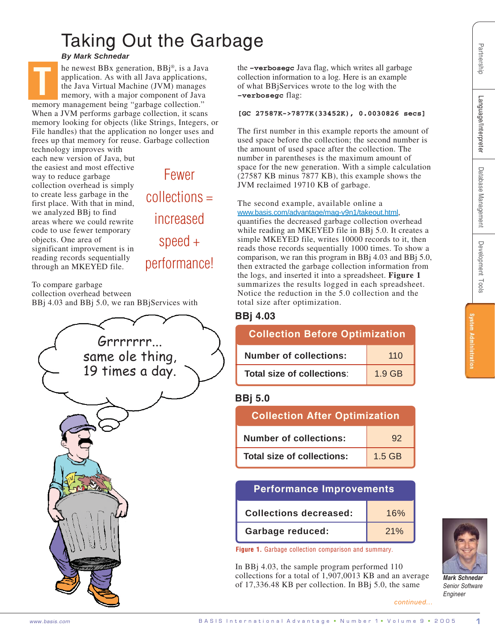# Taking Out the Garbage

*By Mark Schnedar*

he newest BBx generation, BBj®, is a Java application. As with all Java applications, the Java Virtual Machine (JVM) manages memory, with a major component of Java memory management being "garbage collection." When a JVM performs garbage collection, it scans memory looking for objects (like Strings, Integers, or **T**

File handles) that the application no longer uses and frees up that memory for reuse. Garbage collection technology improves with

each new version of Java, but the easiest and most effective way to reduce garbage collection overhead is simply to create less garbage in the first place. With that in mind, we analyzed BBj to find areas where we could rewrite code to use fewer temporary objects. One area of significant improvement is in reading records sequentially through an MKEYED file.

Fewer collections = increased speed + performance!

To compare garbage collection overhead between BBj 4.03 and BBj 5.0, we ran BBjServices with



the **–verbosegc** Java flag, which writes all garbage collection information to a log. Here is an example of what BBjServices wrote to the log with the **–verbosegc** flag:

#### **[GC 27587K->7877K(33452K), 0.0030826 secs]**

The first number in this example reports the amount of used space before the collection; the second number is the amount of used space after the collection. The number in parentheses is the maximum amount of space for the new generation. With a simple calculation (27587 KB minus 7877 KB), this example shows the JVM reclaimed 19710 KB of garbage.

The second example, available online a <www.basis.com/advantage/mag-v9n1/takeout.html>, quantifies the decreased garbage collection overhead while reading an MKEYED file in BBj 5.0. It creates a simple MKEYED file, writes 10000 records to it, then reads those records sequentially 1000 times. To show a comparison, we ran this program in BBj 4.03 and BBj 5.0, then extracted the garbage collection information from the logs, and inserted it into a spreadsheet. **Figure 1** summarizes the results logged in each spreadsheet. Notice the reduction in the 5.0 collection and the total size after optimization.

## **BBj 4.03**

| <b>Collection Before Optimization</b> |        |  |
|---------------------------------------|--------|--|
| <b>Number of collections:</b>         | 110    |  |
| Total size of collections:            | 1.9 GB |  |

### **BBj 5.0**

| <b>Collection After Optimization</b> |          |  |
|--------------------------------------|----------|--|
| <b>Number of collections:</b>        | 92       |  |
| <b>Total size of collections:</b>    | $1.5$ GB |  |

## **Performance Improvements**

| <b>Collections decreased:</b> | 16% |
|-------------------------------|-----|
| <b>Garbage reduced:</b>       | 21% |

**Figure 1.** Garbage collection comparison and summary.

In BBj 4.03, the sample program performed 110 collections for a total of 1,907,0013 KB and an average of 17,336.48 KB per collection. In BBj 5.0, the same

*continued...*